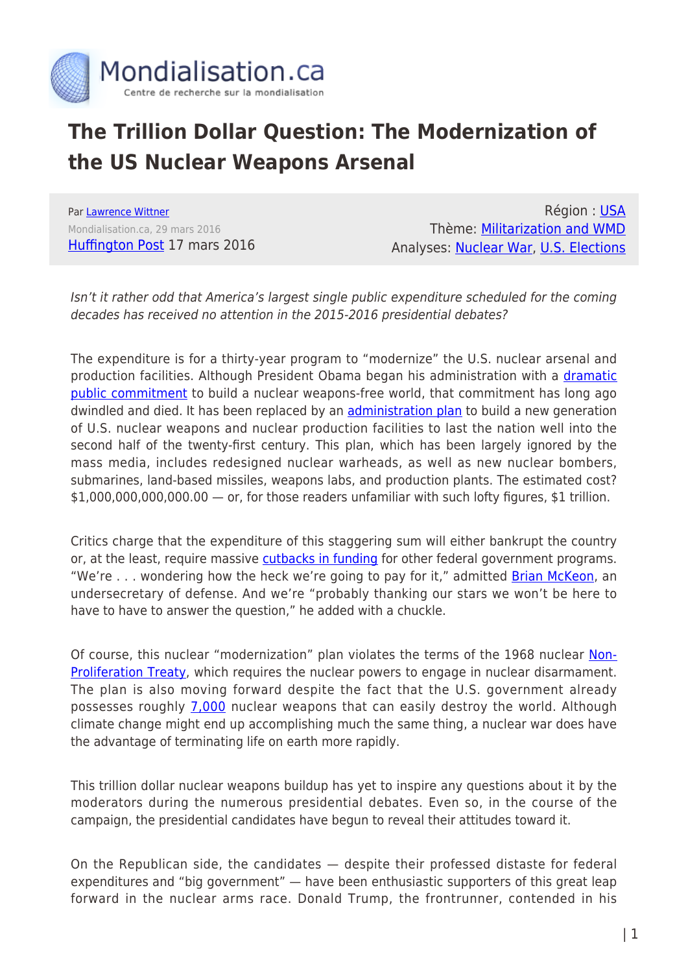

## **The Trillion Dollar Question: The Modernization of the US Nuclear Weapons Arsenal**

Par [Lawrence Wittner](https://www.mondialisation.ca/author/lawrence-wittner) Mondialisation.ca, 29 mars 2016 [Huffington Post](http://www.huffingtonpost.com/lawrence-wittner/the-trillion-dollar-question_b_9481432.html) 17 mars 2016

Région : [USA](https://www.mondialisation.ca/region/usa) Thème: [Militarization and WMD](https://www.mondialisation.ca/theme/militarization-and-wmd) Analyses: [Nuclear War,](https://www.mondialisation.ca/indepthreport/nuclear-war) [U.S. Elections](https://www.mondialisation.ca/indepthreport/u-s-elections)

Isn't it rather odd that America's largest single public expenditure scheduled for the coming decades has received no attention in the 2015-2016 presidential debates?

The expenditure is for a thirty-year program to "modernize" the U.S. nuclear arsenal and production facilities. Although President Obama began his administration with a [dramatic](https://www.whitehouse.gov/the-press-office/remarks-president-barack-obama-prague-delivered) [public commitment](https://www.whitehouse.gov/the-press-office/remarks-president-barack-obama-prague-delivered) to build a nuclear weapons-free world, that commitment has long ago dwindled and died. It has been replaced by an [administration plan](http://cns.miis.edu/opapers/pdfs/140107_trillion_dollar_nuclear_triad.pdf) to build a new generation of U.S. nuclear weapons and nuclear production facilities to last the nation well into the second half of the twenty-first century. This plan, which has been largely ignored by the mass media, includes redesigned nuclear warheads, as well as new nuclear bombers, submarines, land-based missiles, weapons labs, and production plants. The estimated cost? \$1,000,000,000,000.00 — or, for those readers unfamiliar with such lofty figures, \$1 trillion.

Critics charge that the expenditure of this staggering sum will either bankrupt the country or, at the least, require massive [cutbacks in funding](http://www.foxbusiness.com/features/2015/11/10/test.html) for other federal government programs. "We're . . . wondering how the heck we're going to pay for it," admitted **[Brian McKeon](https://www.armscontrol.org/blog/ArmsControlNow/2016-02-09/Last-Obama-Budget-Goes-for-Broke-on-Nuclear-Weapons)**, an undersecretary of defense. And we're "probably thanking our stars we won't be here to have to have to answer the question," he added with a chuckle.

Of course, this nuclear "modernization" plan violates the terms of the 1968 nuclear [Non-](http://www.un.org/en/conf/npt/2005/npttreaty.html)**[Proliferation Treaty](http://www.un.org/en/conf/npt/2005/npttreaty.html), which requires the nuclear powers to engage in nuclear disarmament.** The plan is also moving forward despite the fact that the U.S. government already possesses roughly [7,000](http://fas.org/issues/nuclear-weapons/status-world-nuclear-forces/) nuclear weapons that can easily destroy the world. Although climate change might end up accomplishing much the same thing, a nuclear war does have the advantage of terminating life on earth more rapidly.

This trillion dollar nuclear weapons buildup has yet to inspire any questions about it by the moderators during the numerous presidential debates. Even so, in the course of the campaign, the presidential candidates have begun to reveal their attitudes toward it.

On the Republican side, the candidates — despite their professed distaste for federal expenditures and "big government" — have been enthusiastic supporters of this great leap forward in the nuclear arms race. Donald Trump, the frontrunner, contended in his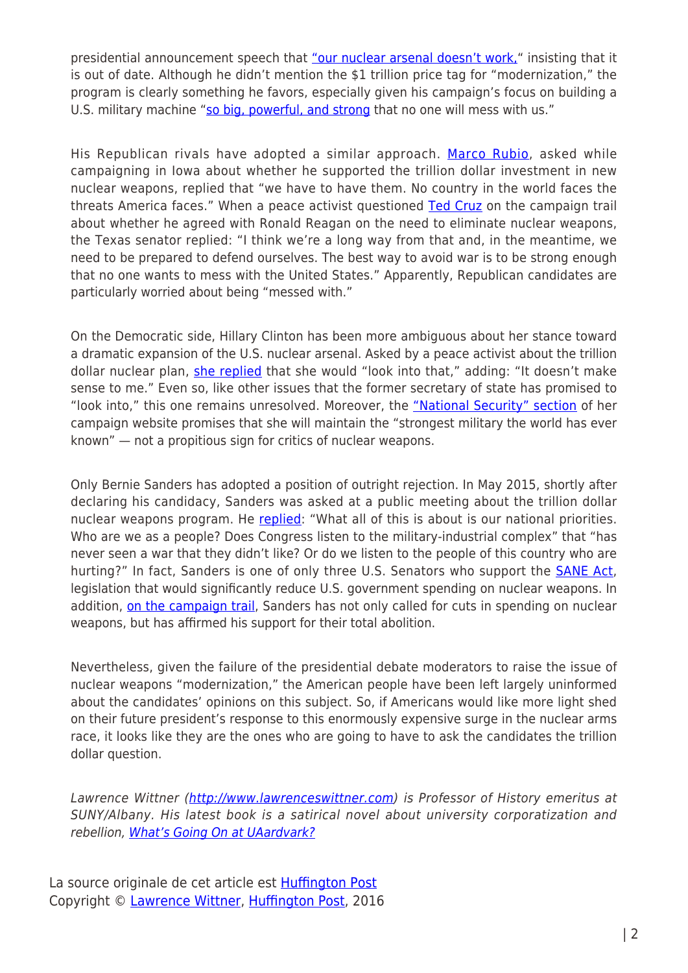presidential announcement speech that ["our nuclear arsenal doesn't work,"](http://www.politifact.com/truth-o-meter/statements/2015/jun/18/donald-trump/donald-trump-says-our-nuclear-arsenal-doesnt-work/) insisting that it is out of date. Although he didn't mention the \$1 trillion price tag for "modernization," the program is clearly something he favors, especially given his campaign's focus on building a U.S. military machine "[so big, powerful, and strong](https://www.donaldjtrump.com/issues/) that no one will mess with us."

His Republican rivals have adopted a similar approach. [Marco Rubio,](http://gui.afsc.org/birddog/rubio-wants-more-nukes-deterrence-friend-peace) asked while campaigning in Iowa about whether he supported the trillion dollar investment in new nuclear weapons, replied that "we have to have them. No country in the world faces the threats America faces." When a peace activist questioned [Ted Cruz](http://www.globalzero.org/blog/ted-cruz-eliminating-nuclear-weapons) on the campaign trail about whether he agreed with Ronald Reagan on the need to eliminate nuclear weapons, the Texas senator replied: "I think we're a long way from that and, in the meantime, we need to be prepared to defend ourselves. The best way to avoid war is to be strong enough that no one wants to mess with the United States." Apparently, Republican candidates are particularly worried about being "messed with."

On the Democratic side, Hillary Clinton has been more ambiguous about her stance toward a dramatic expansion of the U.S. nuclear arsenal. Asked by a peace activist about the trillion dollar nuclear plan, [she replied](https://theintercept.com/2016/01/07/hillary-clinton-nuclear-weapons/) that she would "look into that," adding: "It doesn't make sense to me." Even so, like other issues that the former secretary of state has promised to "look into," this one remains unresolved. Moreover, the ["National Security" section](https://www.hillaryclinton.com/issues/national-security/) of her campaign website promises that she will maintain the "strongest military the world has ever known" — not a propitious sign for critics of nuclear weapons.

Only Bernie Sanders has adopted a position of outright rejection. In May 2015, shortly after declaring his candidacy, Sanders was asked at a public meeting about the trillion dollar nuclear weapons program. He [replied:](http://gui.afsc.org/birddog/sanders-nuclear-weapons-vs-human-needs) "What all of this is about is our national priorities. Who are we as a people? Does Congress listen to the military-industrial complex" that "has never seen a war that they didn't like? Or do we listen to the people of this country who are hurting?" In fact, Sanders is one of only three U.S. Senators who support the **SANE Act**, legislation that would significantly reduce U.S. government spending on nuclear weapons. In addition, [on the campaign trail,](http://www.globalzero.org/blog/bernie-sanders-supports-major-reductions-us-russian-nuclear-arsenals?utm_source=blog&utm_medium=X&utm_campaign=2016) Sanders has not only called for cuts in spending on nuclear weapons, but has affirmed his support for their total abolition.

Nevertheless, given the failure of the presidential debate moderators to raise the issue of nuclear weapons "modernization," the American people have been left largely uninformed about the candidates' opinions on this subject. So, if Americans would like more light shed on their future president's response to this enormously expensive surge in the nuclear arms race, it looks like they are the ones who are going to have to ask the candidates the trillion dollar question.

Lawrence Wittner ([http://www.lawrenceswittner.com\)](http://www.lawrenceswittner.com/) is Professor of History emeritus at SUNY/Albany. His latest book is a satirical novel about university corporatization and rebellion, [What's Going On at UAardvark?](http://www.amazon.com/Whats-Going-UAardvark-Lawrence-Wittner/dp/0692261125/ref=sr_1_1_twi_pap_2?s=books&ie=UTF8&qid=1442077534&sr=1-1&keywords=what%27s+going+on+at+UAardvark%3F)

La source originale de cet article est [Huffington Post](http://www.huffingtonpost.com/lawrence-wittner/the-trillion-dollar-question_b_9481432.html) Copyright © [Lawrence Wittner](https://www.mondialisation.ca/author/lawrence-wittner), [Huffington Post](http://www.huffingtonpost.com/lawrence-wittner/the-trillion-dollar-question_b_9481432.html), 2016